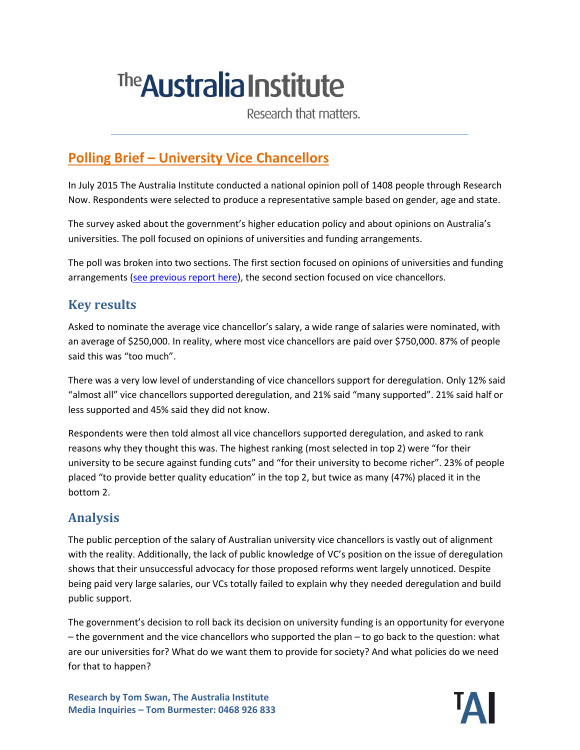# <sup>The</sup> Australia Institute

Research that matters.

# **Polling Brief – University Vice Chancellors**

In July 2015 The Australia Institute conducted a national opinion poll of 1408 people through Research Now. Respondents were selected to produce a representative sample based on gender, age and state.

The survey asked about the government's higher education policy and about opinions on Australia's universities. The poll focused on opinions of universities and funding arrangements.

The poll was broken into two sections. The first section focused on opinions of universities and funding arrangements [\(see previous report here\)](http://www.tai.org.au/), the second section focused on vice chancellors.

#### **Key results**

Asked to nominate the average vice chancellor's salary, a wide range of salaries were nominated, with an average of \$250,000. In reality, where most vice chancellors are paid over \$750,000. 87% of people said this was "too much".

There was a very low level of understanding of vice chancellors support for deregulation. Only 12% said "almost all" vice chancellors supported deregulation, and 21% said "many supported". 21% said half or less supported and 45% said they did not know.

Respondents were then told almost all vice chancellors supported deregulation, and asked to rank reasons why they thought this was. The highest ranking (most selected in top 2) were "for their university to be secure against funding cuts" and "for their university to become richer". 23% of people placed "to provide better quality education" in the top 2, but twice as many (47%) placed it in the bottom 2.

### **Analysis**

The public perception of the salary of Australian university vice chancellors is vastly out of alignment with the reality. Additionally, the lack of public knowledge of VC's position on the issue of deregulation shows that their unsuccessful advocacy for those proposed reforms went largely unnoticed. Despite being paid very large salaries, our VCs totally failed to explain why they needed deregulation and build public support.

The government's decision to roll back its decision on university funding is an opportunity for everyone – the government and the vice chancellors who supported the plan – to go back to the question: what are our universities for? What do we want them to provide for society? And what policies do we need for that to happen?

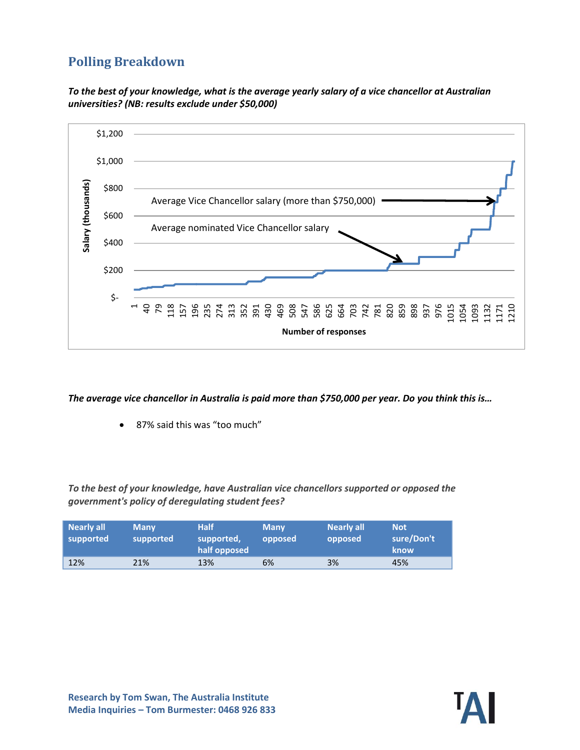## **Polling Breakdown**





*The average vice chancellor in Australia is paid more than \$750,000 per year. Do you think this is…*

87% said this was "too much"

*To the best of your knowledge, have Australian vice chancellors supported or opposed the government's policy of deregulating student fees?*

| Nearly all<br>supported | <b>Many</b><br>supported | <b>Half</b><br>supported,<br>half opposed | <b>Many</b><br>opposed | <b>Nearly all</b><br>opposed | <b>Not</b><br>sure/Don't<br>know |
|-------------------------|--------------------------|-------------------------------------------|------------------------|------------------------------|----------------------------------|
| 12%                     | 21%                      | 13%                                       | 6%                     | 3%                           | 45%                              |